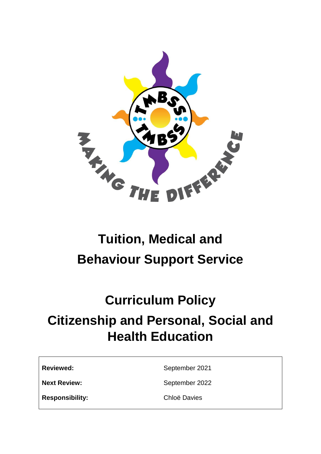

# **Tuition, Medical and Behaviour Support Service**

# **Curriculum Policy Citizenship and Personal, Social and Health Education**

| <b>Reviewed:</b> |  |
|------------------|--|
|                  |  |

**Reviewed:** September 2021

**Next Review:** September 2022

**Responsibility:** Chloë Davies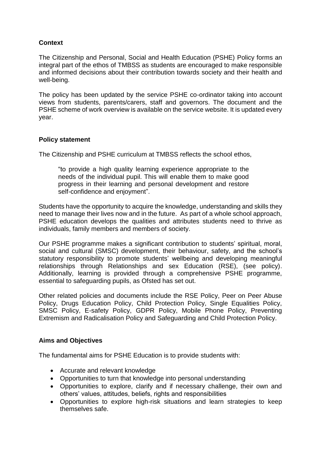# **Context**

The Citizenship and Personal, Social and Health Education (PSHE) Policy forms an integral part of the ethos of TMBSS as students are encouraged to make responsible and informed decisions about their contribution towards society and their health and well-being.

The policy has been updated by the service PSHE co-ordinator taking into account views from students, parents/carers, staff and governors. The document and the PSHE scheme of work overview is available on the service website. It is updated every year.

# **Policy statement**

The Citizenship and PSHE curriculum at TMBSS reflects the school ethos,

"to provide a high quality learning experience appropriate to the needs of the individual pupil. This will enable them to make good progress in their learning and personal development and restore self-confidence and enjoyment".

Students have the opportunity to acquire the knowledge, understanding and skills they need to manage their lives now and in the future. As part of a whole school approach, PSHE education develops the qualities and attributes students need to thrive as individuals, family members and members of society.

Our PSHE programme makes a significant contribution to students' spiritual, moral, social and cultural (SMSC) development, their behaviour, safety, and the school's statutory responsibility to promote students' wellbeing and developing meaningful relationships through Relationships and sex Education (RSE), (see policy). Additionally, learning is provided through a comprehensive PSHE programme, essential to safeguarding pupils, as Ofsted has set out.

Other related policies and documents include the RSE Policy, Peer on Peer Abuse Policy, Drugs Education Policy, Child Protection Policy, Single Equalities Policy, SMSC Policy, E-safety Policy, GDPR Policy, Mobile Phone Policy, Preventing Extremism and Radicalisation Policy and Safeguarding and Child Protection Policy.

# **Aims and Objectives**

The fundamental aims for PSHE Education is to provide students with:

- Accurate and relevant knowledge
- Opportunities to turn that knowledge into personal understanding
- Opportunities to explore, clarify and if necessary challenge, their own and others' values, attitudes, beliefs, rights and responsibilities
- Opportunities to explore high-risk situations and learn strategies to keep themselves safe.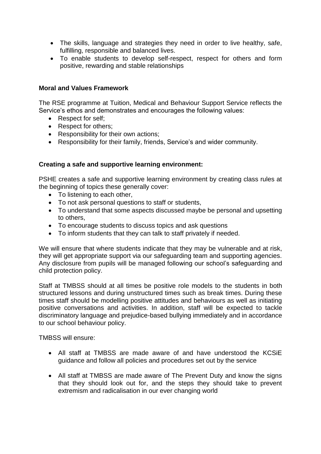- The skills, language and strategies they need in order to live healthy, safe, fulfilling, responsible and balanced lives.
- To enable students to develop self-respect, respect for others and form positive, rewarding and stable relationships

# **Moral and Values Framework**

The RSE programme at Tuition, Medical and Behaviour Support Service reflects the Service's ethos and demonstrates and encourages the following values:

- Respect for self:
- Respect for others;
- Responsibility for their own actions;
- Responsibility for their family, friends, Service's and wider community.

# **Creating a safe and supportive learning environment:**

PSHE creates a safe and supportive learning environment by creating class rules at the beginning of topics these generally cover:

- To listening to each other,
- To not ask personal questions to staff or students,
- To understand that some aspects discussed maybe be personal and upsetting to others,
- To encourage students to discuss topics and ask questions
- To inform students that they can talk to staff privately if needed.

We will ensure that where students indicate that they may be vulnerable and at risk, they will get appropriate support via our safeguarding team and supporting agencies. Any disclosure from pupils will be managed following our school's safeguarding and child protection policy.

Staff at TMBSS should at all times be positive role models to the students in both structured lessons and during unstructured times such as break times. During these times staff should be modelling positive attitudes and behaviours as well as initiating positive conversations and activities. In addition, staff will be expected to tackle discriminatory language and prejudice-based bullying immediately and in accordance to our school behaviour policy.

TMBSS will ensure:

- All staff at TMBSS are made aware of and have understood the KCSiE guidance and follow all policies and procedures set out by the service
- All staff at TMBSS are made aware of The Prevent Duty and know the signs that they should look out for, and the steps they should take to prevent extremism and radicalisation in our ever changing world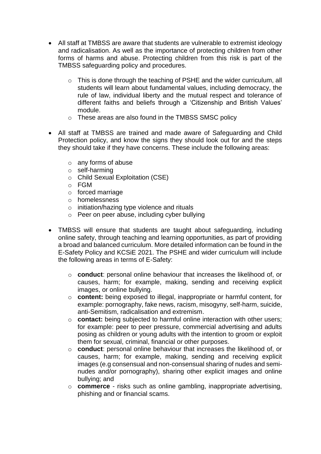- All staff at TMBSS are aware that students are vulnerable to extremist ideology and radicalisation. As well as the importance of protecting children from other forms of harms and abuse. Protecting children from this risk is part of the TMBSS safeguarding policy and procedures.
	- o This is done through the teaching of PSHE and the wider curriculum, all students will learn about fundamental values, including democracy, the rule of law, individual liberty and the mutual respect and tolerance of different faiths and beliefs through a 'Citizenship and British Values' module.
	- o These areas are also found in the TMBSS SMSC policy
- All staff at TMBSS are trained and made aware of Safeguarding and Child Protection policy, and know the signs they should look out for and the steps they should take if they have concerns. These include the following areas:
	- o any forms of abuse
	- o self-harming
	- o Child Sexual Exploitation (CSE)
	- o FGM
	- o forced marriage
	- o homelessness
	- o initiation/hazing type violence and rituals
	- o Peer on peer abuse, including cyber bullying
- TMBSS will ensure that students are taught about safeguarding, including online safety, through teaching and learning opportunities, as part of providing a broad and balanced curriculum. More detailed information can be found in the E-Safety Policy and KCSiE 2021. The PSHE and wider curriculum will include the following areas in terms of E-Safety:
	- o **conduct**: personal online behaviour that increases the likelihood of, or causes, harm; for example, making, sending and receiving explicit images, or online bullying.
	- o **content:** being exposed to illegal, inappropriate or harmful content, for example: pornography, fake news, racism, misogyny, self-harm, suicide, anti-Semitism, radicalisation and extremism.
	- o **contact:** being subjected to harmful online interaction with other users; for example: peer to peer pressure, commercial advertising and adults posing as children or young adults with the intention to groom or exploit them for sexual, criminal, financial or other purposes.
	- o **conduct**: personal online behaviour that increases the likelihood of, or causes, harm; for example, making, sending and receiving explicit images (e.g consensual and non-consensual sharing of nudes and seminudes and/or pornography), sharing other explicit images and online bullying; and
	- o **commerce** risks such as online gambling, inappropriate advertising, phishing and or financial scams.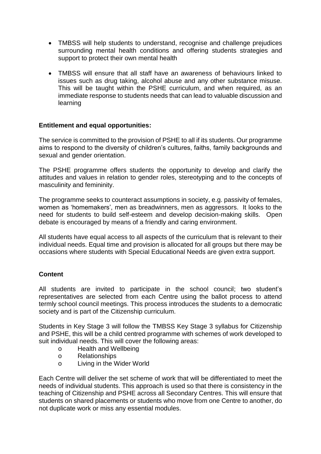- TMBSS will help students to understand, recognise and challenge prejudices surrounding mental health conditions and offering students strategies and support to protect their own mental health
- TMBSS will ensure that all staff have an awareness of behaviours linked to issues such as drug taking, alcohol abuse and any other substance misuse. This will be taught within the PSHE curriculum, and when required, as an immediate response to students needs that can lead to valuable discussion and learning

# **Entitlement and equal opportunities:**

The service is committed to the provision of PSHE to all if its students. Our programme aims to respond to the diversity of children's cultures, faiths, family backgrounds and sexual and gender orientation.

The PSHE programme offers students the opportunity to develop and clarify the attitudes and values in relation to gender roles, stereotyping and to the concepts of masculinity and femininity.

The programme seeks to counteract assumptions in society, e.g. passivity of females, women as 'homemakers', men as breadwinners, men as aggressors. It looks to the need for students to build self-esteem and develop decision-making skills. Open debate is encouraged by means of a friendly and caring environment.

All students have equal access to all aspects of the curriculum that is relevant to their individual needs. Equal time and provision is allocated for all groups but there may be occasions where students with Special Educational Needs are given extra support.

# **Content**

All students are invited to participate in the school council; two student's representatives are selected from each Centre using the ballot process to attend termly school council meetings. This process introduces the students to a democratic society and is part of the Citizenship curriculum.

Students in Key Stage 3 will follow the TMBSS Key Stage 3 syllabus for Citizenship and PSHE, this will be a child centred programme with schemes of work developed to suit individual needs. This will cover the following areas:

- o Health and Wellbeing
- o Relationships
- o Living in the Wider World

Each Centre will deliver the set scheme of work that will be differentiated to meet the needs of individual students. This approach is used so that there is consistency in the teaching of Citizenship and PSHE across all Secondary Centres. This will ensure that students on shared placements or students who move from one Centre to another, do not duplicate work or miss any essential modules.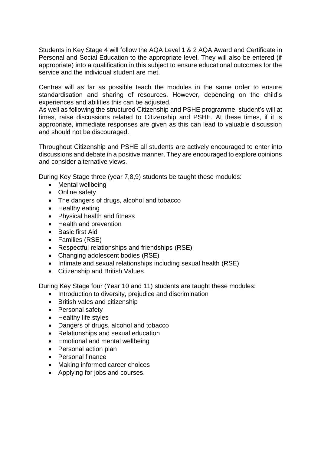Students in Key Stage 4 will follow the AQA Level 1 & 2 AQA Award and Certificate in Personal and Social Education to the appropriate level. They will also be entered (if appropriate) into a qualification in this subject to ensure educational outcomes for the service and the individual student are met.

Centres will as far as possible teach the modules in the same order to ensure standardisation and sharing of resources. However, depending on the child's experiences and abilities this can be adjusted.

As well as following the structured Citizenship and PSHE programme, student's will at times, raise discussions related to Citizenship and PSHE. At these times, if it is appropriate, immediate responses are given as this can lead to valuable discussion and should not be discouraged.

Throughout Citizenship and PSHE all students are actively encouraged to enter into discussions and debate in a positive manner. They are encouraged to explore opinions and consider alternative views.

During Key Stage three (year 7,8,9) students be taught these modules:

- Mental wellbeing
- Online safety
- The dangers of drugs, alcohol and tobacco
- Healthy eating
- Physical health and fitness
- Health and prevention
- Basic first Aid
- Families (RSE)
- Respectful relationships and friendships (RSE)
- Changing adolescent bodies (RSE)
- Intimate and sexual relationships including sexual health (RSE)
- Citizenship and British Values

During Key Stage four (Year 10 and 11) students are taught these modules:

- Introduction to diversity, prejudice and discrimination
- British vales and citizenship
- Personal safety
- Healthy life styles
- Dangers of drugs, alcohol and tobacco
- Relationships and sexual education
- Emotional and mental wellbeing
- Personal action plan
- Personal finance
- Making informed career choices
- Applying for jobs and courses.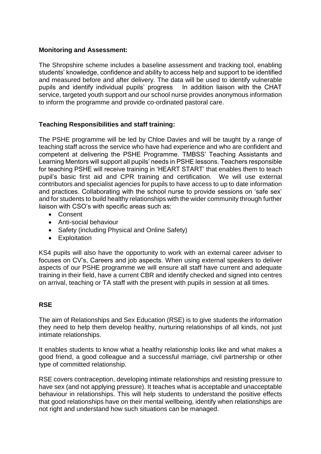# **Monitoring and Assessment:**

The Shropshire scheme includes a baseline assessment and tracking tool, enabling students' knowledge, confidence and ability to access help and support to be identified and measured before and after delivery. The data will be used to identify vulnerable pupils and identify individual pupils' progress In addition liaison with the CHAT service, targeted youth support and our school nurse provides anonymous information to inform the programme and provide co-ordinated pastoral care.

# **Teaching Responsibilities and staff training:**

The PSHE programme will be led by Chloe Davies and will be taught by a range of teaching staff across the service who have had experience and who are confident and competent at delivering the PSHE Programme. TMBSS' Teaching Assistants and Learning Mentors will support all pupils' needs in PSHE lessons. Teachers responsible for teaching PSHE will receive training in 'HEART START' that enables them to teach pupil's basic first aid and CPR training and certification. We will use external contributors and specialist agencies for pupils to have access to up to date information and practices. Collaborating with the school nurse to provide sessions on 'safe sex' and for students to build healthy relationships with the wider community through further liaison with CSO's with specific areas such as:

- Consent
- Anti-social behaviour
- Safety (including Physical and Online Safety)
- Exploitation

KS4 pupils will also have the opportunity to work with an external career adviser to focuses on CV's, Careers and job aspects. When using external speakers to deliver aspects of our PSHE programme we will ensure all staff have current and adequate training in their field, have a current CBR and identify checked and signed into centres on arrival, teaching or TA staff with the present with pupils in session at all times.

# **RSE**

The aim of Relationships and Sex Education (RSE) is to give students the information they need to help them develop healthy, nurturing relationships of all kinds, not just intimate relationships.

It enables students to know what a healthy relationship looks like and what makes a good friend, a good colleague and a successful marriage, civil partnership or other type of committed relationship.

RSE covers contraception, developing intimate relationships and resisting pressure to have sex (and not applying pressure). It teaches what is acceptable and unacceptable behaviour in relationships. This will help students to understand the positive effects that good relationships have on their mental wellbeing, identify when relationships are not right and understand how such situations can be managed.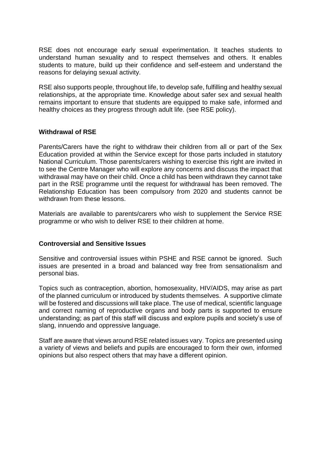RSE does not encourage early sexual experimentation. It teaches students to understand human sexuality and to respect themselves and others. It enables students to mature, build up their confidence and self-esteem and understand the reasons for delaying sexual activity.

RSE also supports people, throughout life, to develop safe, fulfilling and healthy sexual relationships, at the appropriate time. Knowledge about safer sex and sexual health remains important to ensure that students are equipped to make safe, informed and healthy choices as they progress through adult life. (see RSE policy).

#### **Withdrawal of RSE**

Parents/Carers have the right to withdraw their children from all or part of the Sex Education provided at within the Service except for those parts included in statutory National Curriculum. Those parents/carers wishing to exercise this right are invited in to see the Centre Manager who will explore any concerns and discuss the impact that withdrawal may have on their child. Once a child has been withdrawn they cannot take part in the RSE programme until the request for withdrawal has been removed. The Relationship Education has been compulsory from 2020 and students cannot be withdrawn from these lessons.

Materials are available to parents/carers who wish to supplement the Service RSE programme or who wish to deliver RSE to their children at home.

# **Controversial and Sensitive Issues**

Sensitive and controversial issues within PSHE and RSE cannot be ignored. Such issues are presented in a broad and balanced way free from sensationalism and personal bias.

Topics such as contraception, abortion, homosexuality, HIV/AIDS, may arise as part of the planned curriculum or introduced by students themselves. A supportive climate will be fostered and discussions will take place. The use of medical, scientific language and correct naming of reproductive organs and body parts is supported to ensure understanding; as part of this staff will discuss and explore pupils and society's use of slang, innuendo and oppressive language.

Staff are aware that views around RSE related issues vary. Topics are presented using a variety of views and beliefs and pupils are encouraged to form their own, informed opinions but also respect others that may have a different opinion.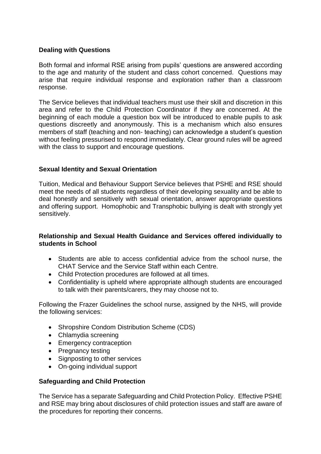# **Dealing with Questions**

Both formal and informal RSE arising from pupils' questions are answered according to the age and maturity of the student and class cohort concerned. Questions may arise that require individual response and exploration rather than a classroom response.

The Service believes that individual teachers must use their skill and discretion in this area and refer to the Child Protection Coordinator if they are concerned. At the beginning of each module a question box will be introduced to enable pupils to ask questions discreetly and anonymously. This is a mechanism which also ensures members of staff (teaching and non- teaching) can acknowledge a student's question without feeling pressurised to respond immediately. Clear ground rules will be agreed with the class to support and encourage questions.

# **Sexual Identity and Sexual Orientation**

Tuition, Medical and Behaviour Support Service believes that PSHE and RSE should meet the needs of all students regardless of their developing sexuality and be able to deal honestly and sensitively with sexual orientation, answer appropriate questions and offering support. Homophobic and Transphobic bullying is dealt with strongly yet sensitively.

# **Relationship and Sexual Health Guidance and Services offered individually to students in School**

- Students are able to access confidential advice from the school nurse, the CHAT Service and the Service Staff within each Centre.
- Child Protection procedures are followed at all times.
- Confidentiality is upheld where appropriate although students are encouraged to talk with their parents/carers, they may choose not to.

Following the Frazer Guidelines the school nurse, assigned by the NHS, will provide the following services:

- Shropshire Condom Distribution Scheme (CDS)
- Chlamydia screening
- Emergency contraception
- Pregnancy testing
- Signposting to other services
- On-going individual support

# **Safeguarding and Child Protection**

The Service has a separate Safeguarding and Child Protection Policy. Effective PSHE and RSE may bring about disclosures of child protection issues and staff are aware of the procedures for reporting their concerns.